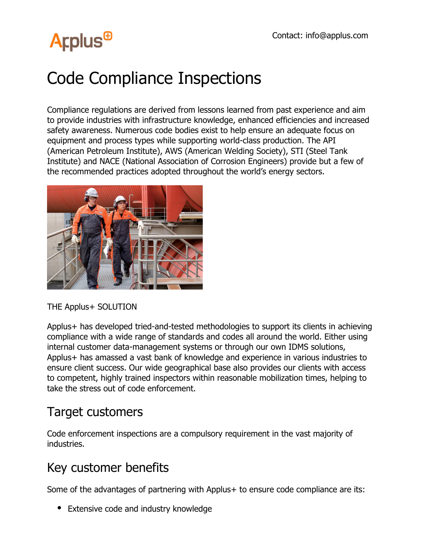## **Arplus<sup>®</sup>**

## Code Compliance Inspections

Compliance regulations are derived from lessons learned from past experience and aim to provide industries with infrastructure knowledge, enhanced efficiencies and increased safety awareness. Numerous code bodies exist to help ensure an adequate focus on equipment and process types while supporting world-class production. The API (American Petroleum Institute), AWS (American Welding Society), STI (Steel Tank Institute) and NACE (National Association of Corrosion Engineers) provide but a few of the recommended practices adopted throughout the world's energy sectors.



THE Applus+ SOLUTION

Applus+ has developed tried-and-tested methodologies to support its clients in achieving compliance with a wide range of standards and codes all around the world. Either using internal customer data-management systems or through our own IDMS solutions, Applus+ has amassed a vast bank of knowledge and experience in various industries to ensure client success. Our wide geographical base also provides our clients with access to competent, highly trained inspectors within reasonable mobilization times, helping to take the stress out of code enforcement.

## Target customers

Code enforcement inspections are a compulsory requirement in the vast majority of industries.

## Key customer benefits

Some of the advantages of partnering with Applus+ to ensure code compliance are its:

• Extensive code and industry knowledge